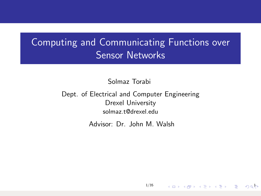# <span id="page-0-0"></span>Computing and Communicating Functions over Sensor Networks

Solmaz Torabi

Dept. of Electrical and Computer Engineering Drexel University solmaz.t@drexel.edu

Advisor: Dr. John M. Walsh

[1/35](#page-34-0)

 $10 \times 10$   $10 \times 10$   $10 \times 10$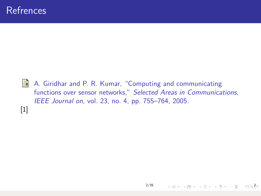<span id="page-1-0"></span>A. Giridhar and P. R. Kumar, "Computing and communicating functions over sensor networks," Selected Areas in Communications, IEEE Journal on, vol. 23, no. 4, pp. 755–764, 2005. [\[1\]](#page-1-0)

4 ロ → 4 @ → 4 블 → 4 블 → - 블 → 9 Q <mark>(</mark>)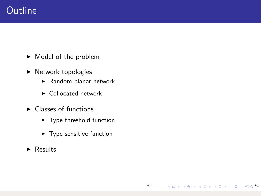## **Outline**

- $\blacktriangleright$  Model of the problem
- $\blacktriangleright$  Network topologies
	- $\blacktriangleright$  Random planar network
	- $\blacktriangleright$  Collocated network
- $\blacktriangleright$  Classes of functions
	- $\blacktriangleright$  Type threshold function
	- $\blacktriangleright$  Type sensitive function

[3/35](#page-0-0)

3 ロ > 3 @ > 3 를 > 3 를 > 1 를 + 3 Q <mark>∛</mark>>

 $\triangleright$  Results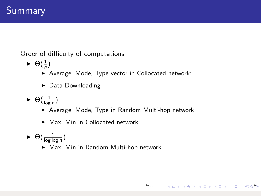Order of difficulty of computations

- $\blacktriangleright \Theta(\frac{1}{n})$ 
	- ▶ Average, Mode, Type vector in Collocated network:
	- $\triangleright$  Data Downloading
- $\blacktriangleright \Theta(\frac{1}{\log n})$ 
	- ▶ Average, Mode, Type in Random Multi-hop network
	- $\blacktriangleright$  Max, Min in Collocated network
- $\blacktriangleright \Theta(\frac{1}{\log \log n})$ 
	- ▶ Max, Min in Random Multi-hop network

4 미 X 4 메 X 4 리 X 4 리 X 리 코 X 9 이 4 라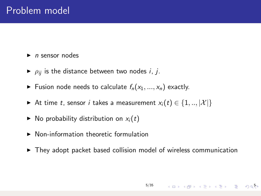$\blacktriangleright$  *n* sensor nodes

- $\rho_{ii}$  is the distance between two nodes *i*, *j*.
- Fusion node needs to calculate  $f_n(x_1, ..., x_n)$  exactly.
- At time t, sensor i takes a measurement  $x_i(t) \in \{1, ..., |\mathcal{X}|\}$
- $\triangleright$  No probability distribution on  $x_i(t)$
- $\blacktriangleright$  Non-information theoretic formulation
- $\triangleright$  They adopt packet based collision model of wireless communication

5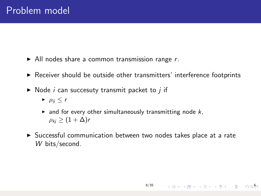- $\blacktriangleright$  All nodes share a common transmission range r.
- $\triangleright$  Receiver should be outside other transmitters' interference footprints
- $\triangleright$  Node *i* can succesuty transmit packet to *i* if
	- $\blacktriangleright$   $\rho_{ij} \leq r$
	- $\blacktriangleright$  and for every other simultaneously transmitting node  $k$ ,  $\rho_{ki}$  >  $(1+\Delta)r$
- $\triangleright$  Successful communication between two nodes takes place at a rate W bits/second.

[6/35](#page-0-0)

 $(1 - 4)$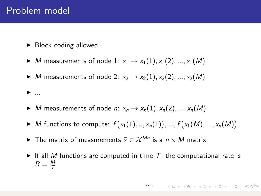### Problem model

 $\blacktriangleright$  ...

- $\blacktriangleright$  Block coding allowed:
- $M$  measurements of node 1:  $x_1 \rightarrow x_1(1), x_1(2), ..., x_1(M)$
- $\blacktriangleright$  *M* measurements of node 2:  $x_2 \rightarrow x_2(1), x_2(2), ..., x_2(M)$

- ▶ *M* measurements of node *n*:  $x_n \to x_n(1), x_n(2), ..., x_n(M)$
- ▶ *M* functions to compute:  $f(x_1(1), ..., x_n(1)), ..., f(x_1(M), ..., x_n(M))$
- ► The matrix of measurements  $\bar{x} \in \mathcal{X}^{Mn}$  is a  $n \times M$  matrix.
- If all M functions are computed in time  $T$ , the computational rate is  $R = \frac{M}{T}$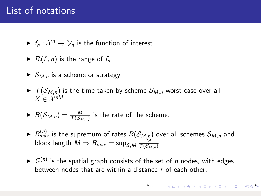## List of notations

- $\blacktriangleright$   $f_n : \mathcal{X}^n \to \mathcal{Y}_n$  is the function of interest.
- $\blacktriangleright$  R(f, n) is the range of  $f_n$
- $\blacktriangleright$   $S_{M,n}$  is a scheme or strategy
- $\blacktriangleright$   $\tau(\mathcal{S}_{M,n})$  is the time taken by scheme  $\mathcal{S}_{M,n}$  worst case over all  $X \in \mathcal{X}^{nM}$

$$
\blacktriangleright \ \mathsf{R}(\mathcal{S}_{M,n}) = \frac{M}{\mathsf{T}(\mathcal{S}_{M,n})}
$$
 is the rate of the scheme.

- $\blacktriangleright$   $R_{max}^{(n)}$  is the supremum of rates  $R(\mathcal{S}_{M,n})$  over all schemes  $\mathcal{S}_{M,n}$  and block length  $M \Rightarrow R_{max} = \mathsf{sup}_{S,M} \, \frac{M}{T(S_{M,n})}$
- $\blacktriangleright$   $G^{(n)}$  is the spatial graph consists of the set of n nodes, with edges between nodes that are within a distance  $r$  of each other.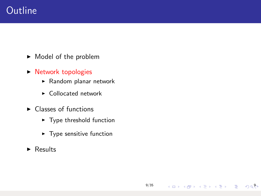## **Outline**

- $\blacktriangleright$  Model of the problem
- $\triangleright$  Network topologies
	- $\blacktriangleright$  Random planar network
	- $\blacktriangleright$  Collocated network
- $\blacktriangleright$  Classes of functions
	- $\blacktriangleright$  Type threshold function
	- $\blacktriangleright$  Type sensitive function

[9/35](#page-0-0)

9

 $\triangleright$  Results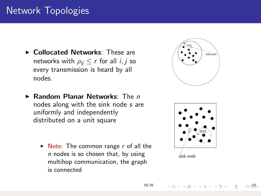## Network Topologies

- ▶ Collocated Networks: These are networks with  $\rho_{ii} \le r$  for all  $i, j$  so every transmission is heard by all nodes.
- $\blacktriangleright$  Random Planar Networks: The n nodes along with the sink node s are uniformly and independently distributed on a unit square
	- $\triangleright$  Note: The common range r of all the  $n$  nodes is so chosen that, by using multihop communication, the graph is connected





10

[10/35](#page-0-0)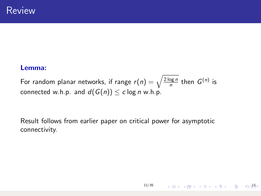#### Lemma:

For random planar networks, if range  $r(n) = \sqrt{\frac{2 \log n}{n}}$  then  $G^{(n)}$  is connected w.h.p. and  $d(G(n)) \leq c \log n$  w.h.p.

Result follows from earlier paper on critical power for asymptotic connectivity.

시다 시*마* 시대 시대 시대 시대 시대에서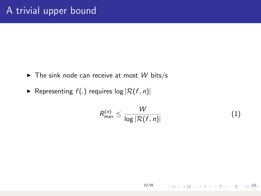- $\triangleright$  The sink node can receive at most W bits/s
- Representing  $f(.)$  requires  $log |\mathcal{R}(f, n)|$

$$
R_{\max}^{(n)} \leq \frac{W}{\log |\mathcal{R}(f, n)|} \tag{1}
$$

12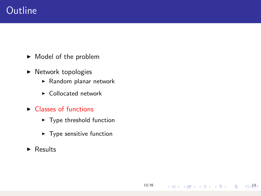## **Outline**

- $\blacktriangleright$  Model of the problem
- $\blacktriangleright$  Network topologies
	- $\blacktriangleright$  Random planar network
	- $\blacktriangleright$  Collocated network
- $\triangleright$  Classes of functions
	- $\blacktriangleright$  Type threshold function
	- $\blacktriangleright$  Type sensitive function

[13/35](#page-0-0)

네마 네 → 네 글 - 네 글 - 그는 - 이 아이

 $\triangleright$  Results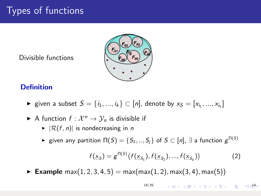# Types of functions

Divisible functions



### **Definition**

- ► given a subset  $S = \{i_1, ..., i_k\} \subset [n]$ , denote by  $x_S = [x_{i_1}, ..., x_{i_k}]$
- A function  $f: \mathcal{X}^n \to \mathcal{Y}_n$  is divisible if
	- $\blacktriangleright$   $|\mathcal{R}(f, n)|$  is nondecreasing in n
	- $\blacktriangleright$  given any partition  $\Pi(S)=\{S_1,..,S_j\}$  of  $S\subset [n]$ ,  $\exists$  a function  $g^{\Pi(S)}$

$$
f(\underline{x}_S) = g^{\Pi(S)}(f(\underline{x}_{S_1}), f(\underline{x}_{S_2}), ..., f(\underline{x}_{S_k}))
$$
 (2)

► Example max $(1, 2, 3, 4, 5)$  = max $(max(1, 2), max(3, 4), max(5))$ 

[14/35](#page-0-0) 14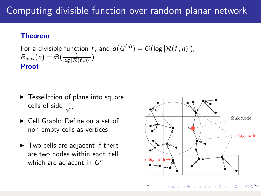## Computing divisible function over random planar network

#### Theorem

For a divisible function  $f$ , and  $d(G^{(n)}) = \mathcal{O}(\log |\mathcal{R}(f,n)|)$ ,  $R_{\textit{max}}(n) = \Theta(\frac{1}{\log |\mathcal{R}(f,n)|})$ Proof

- $\blacktriangleright$  Tessellation of plane into square cells of side  $\frac{r}{\sqrt{2}}$
- ► Cell Graph: Define on a set of non-empty cells as vertices
- $\blacktriangleright$  Two cells are adjacent if there are two nodes within each cell which are adjacent in  $G<sup>n</sup>$

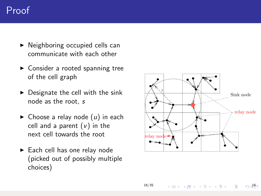- <span id="page-15-0"></span> $\triangleright$  Neighboring occupied cells can communicate with each other
- $\blacktriangleright$  Consider a rooted spanning tree of the cell graph
- $\triangleright$  Designate the cell with the sink node as the root, s
- $\triangleright$  Choose a relay node  $(u)$  in each cell and a parent  $(v)$  in the next cell towards the root
- $\blacktriangleright$  Each cell has one relay node (picked out of possibly multiple choices)

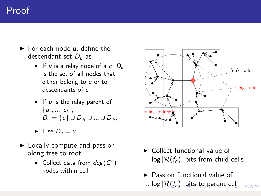- <span id="page-16-0"></span> $\blacktriangleright$  For each node u, define the descendant set  $D_u$  as
	- If u is a relay node of a c,  $D_u$ is the set of all nodes that either belong to c or to descendants of c
	- If u is the relay parent of  $\{u_1, ..., u_l\},\$  $D_u = \{u\} \cup D_{u_1} \cup ... \cup D_{u_l}.$
	- $\blacktriangleright$  Else  $D_u = u$
- $\blacktriangleright$  Locally compute and pass on along tree to root
	- $\blacktriangleright$  Collect data from  $deg(G^n)$ nodes within cell



- $\triangleright$  Collect functional value of  $log |\mathcal{R}(f_n)|$  bits from child cells
- $\blacktriangleright$  Pass on functional value of  $_{17/3}$ [log](#page-0-0)  $\left| \mathcal{R}(f_n) \right|$  $\left| \mathcal{R}(f_n) \right|$  $\left| \mathcal{R}(f_n) \right|$  $\left| \mathcal{R}(f_n) \right|$  $\left| \mathcal{R}(f_n) \right|$  $\left| \mathcal{R}(f_n) \right|$  [bit](#page-16-0)[s](#page-17-0) [to](#page-0-0) [pa](#page-34-0)[re](#page-0-0)[nt](#page-34-0) [ce](#page-0-0)[ll](#page-34-0)  $\Omega$ d $h$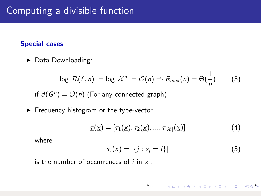## <span id="page-17-0"></span>Computing a divisible function

### Special cases

 $\blacktriangleright$  Data Downloading:

$$
\log |\mathcal{R}(f,n)| = \log |\mathcal{X}^n| = \mathcal{O}(n) \Rightarrow R_{\text{max}}(n) = \Theta(\frac{1}{n}) \tag{3}
$$

if  $d(G^n) = \mathcal{O}(n)$  (For any connected graph)

 $\blacktriangleright$  Frequency histogram or the type-vector

$$
\underline{\tau}(\underline{x}) = [\tau_1(\underline{x}), \tau_2(\underline{x}), ..., \tau_{|\mathcal{X}|}(\underline{x})] \tag{4}
$$

where

$$
\tau_i(\underline{x}) = |\{j : x_j = i\}| \tag{5}
$$

is the number of occurrences of  $i$  in  $x$ .

$$
18/35 \longrightarrow \Box \rightarrow \Box \Box \rightarrow \Box \Box \rightarrow \Box \equiv \rightarrow \Box \equiv \Box \Box \Box \Box \Box
$$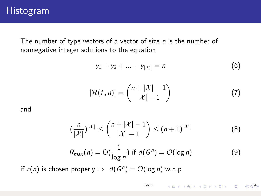The number of type vectors of a vector of size  $n$  is the number of nonnegative integer solutions to the equation

$$
y_1 + y_2 + \ldots + y_{|\mathcal{X}|} = n \tag{6}
$$

$$
|\mathcal{R}(f,n)| = {n+|\mathcal{X}|-1 \choose |\mathcal{X}|-1}
$$
 (7)

and

$$
\left(\frac{n}{|\mathcal{X}|}\right)^{|\mathcal{X}|} \le \binom{n+|\mathcal{X}|-1}{|\mathcal{X}|-1} \le (n+1)^{|\mathcal{X}|} \tag{8}
$$

$$
R_{\max}(n) = \Theta(\frac{1}{\log n}) \text{ if } d(G^n) = \mathcal{O}(\log n) \tag{9}
$$

if  $r(n)$  is chosen properly  $\Rightarrow d(G^n) = \mathcal{O}(\log n)$  w.h.p

[19/35](#page-0-0) 네마 네 - 네 - 네트 - 네트 - 트레이어 - 네마 - 네마 - 트레이어 - 트레이어 - 트레이어 - 트레이어 - 트레이어 - 트레이어 - 트레이어 - 트레이어 - 트레이어 -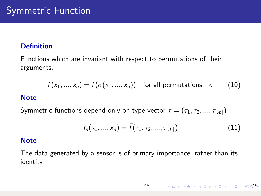### **Definition**

Functions which are invariant with respect to permutations of their arguments.

$$
f(x_1, ..., x_n) = f(\sigma(x_1, ..., x_n)) \text{ for all permutations } \sigma \qquad (10)
$$

#### **Note**

Symmetric functions depend only on type vector  $\tau = (\tau_1, \tau_2, ..., \tau_{|\mathcal{X}|})$ 

$$
f_n(x_1, ..., x_n) = \bar{f}(\tau_1, \tau_2, ..., \tau_{|\mathcal{X}|})
$$
\n(11)

#### **Note**

The data generated by a sensor is of primary importance, rather than its identity.

$$
20/35 \qquad \qquad \overline{1 \cup 1} \rightarrow \overline{1 \cup 2} \rightarrow \overline{1 \cup 2} \rightarrow \overline{1 \cup 2} \rightarrow \overline{1 \cup 2} \rightarrow \overline{1 \cup 2} \rightarrow \overline{1 \cup 2} \rightarrow \overline{1 \cup 2} \rightarrow \overline{1 \cup 2} \rightarrow \overline{1 \cup 2} \rightarrow \overline{1 \cup 2} \rightarrow \overline{1 \cup 2} \rightarrow \overline{1 \cup 2} \rightarrow \overline{1 \cup 2} \rightarrow \overline{1 \cup 2} \rightarrow \overline{1 \cup 2} \rightarrow \overline{1 \cup 2} \rightarrow \overline{1 \cup 2} \rightarrow \overline{1 \cup 2} \rightarrow \overline{1 \cup 2} \rightarrow \overline{1 \cup 2} \rightarrow \overline{1 \cup 2} \rightarrow \overline{1 \cup 2} \rightarrow \overline{1 \cup 2} \rightarrow \overline{1 \cup 2} \rightarrow \overline{1 \cup 2} \rightarrow \overline{1 \cup 2} \rightarrow \overline{1 \cup 2} \rightarrow \overline{1 \cup 2} \rightarrow \overline{1 \cup 2} \rightarrow \overline{1 \cup 2} \rightarrow \overline{1 \cup 2} \rightarrow \overline{1 \cup 2} \rightarrow \overline{1 \cup 2} \rightarrow \overline{1 \cup 2} \rightarrow \overline{1 \cup 2} \rightarrow \overline{1 \cup 2} \rightarrow \overline{1 \cup 2} \rightarrow \overline{1 \cup 2} \rightarrow \overline{1 \cup 2} \rightarrow \overline{1 \cup 2} \rightarrow \overline{1 \cup 2} \rightarrow \overline{1 \cup 2} \rightarrow \overline{1 \cup 2} \rightarrow \overline{1 \cup 2} \rightarrow \overline{1 \cup 2} \rightarrow \overline{1 \cup 2} \rightarrow \overline{1 \cup 2} \rightarrow \overline{1 \cup 2} \rightarrow \overline{1 \cup 2} \rightarrow \overline{1 \cup 2} \rightarrow \overline{1 \cup 2} \rightarrow \overline{1 \cup 2} \rightarrow \overline{1 \cup 2} \rightarrow \overline{1 \cup 2} \rightarrow \overline{1 \cup 2} \rightarrow \overline{1 \cup 2} \rightarrow \overline{1 \cup 2} \rightarrow \overline{1 \cup 2} \rightarrow \overline{1 \cup 2} \rightarrow \overline{1 \cup 2} \rightarrow \overline{1 \cup 2} \rightarrow \overline{
$$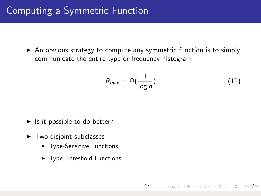## Computing a Symmetric Function

 $\triangleright$  An obvious strategy to compute any symmetric function is to simply communicate the entire type or frequency-histogram

$$
R_{\text{max}} = \Omega(\frac{1}{\log n})
$$
\n(12)

- $\blacktriangleright$  Is it possible to do better?
- $\blacktriangleright$  Two disjoint subclasses
	- $\blacktriangleright$  Type-Sensitive Functions
	- $\blacktriangleright$  Type-Threshold Functions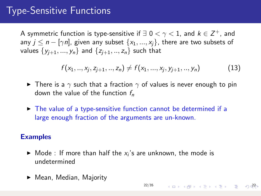# Type-Sensitive Functions

A symmetric function is type-sensitive if  $\exists$  0  $<$   $\gamma$   $<$  1, and  $k$   $\in$   $\mathsf{Z}^{+}$ , and any  $j \leq n - \lfloor \gamma n \rfloor$ , given any subset  $\{x_1, ..., x_i\}$ , there are two subsets of values  $\{y_{i+1},..., y_n\}$  and  $\{z_{i+1},..., z_n\}$  such that

$$
f(x_1, ..., x_j, z_{j+1}, ..., z_n) \neq f(x_1, ..., x_j, y_{j+1}, ..., y_n)
$$
 (13)

- ► There is a  $\gamma$  such that a fraction  $\gamma$  of values is never enough to pin down the value of the function  $f_n$
- $\triangleright$  The value of a type-sensitive function cannot be determined if a large enough fraction of the arguments are un-known.

#### Examples

- $\blacktriangleright$  Mode : If more than half the  $x_i$ 's are unknown, the mode is undetermined
- $\blacktriangleright$  Mean, Median, Majority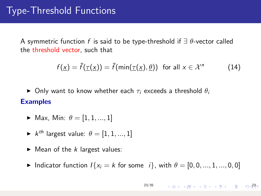A symmetric function f is said to be type-threshold if  $\exists \theta$ -vector called the threshold vector, such that

$$
f(\underline{x}) = \overline{f}(\underline{\tau}(\underline{x})) = \overline{f}(\min(\underline{\tau}(\underline{x}), \underline{\theta})) \text{ for all } x \in \mathcal{X}^n \tag{14}
$$

 $\triangleright$  Only want to know whether each  $\tau_i$  exceeds a threshold  $\theta_i$ **Examples** 

- $\blacktriangleright$  Max, Min:  $\theta = [1, 1, ..., 1]$
- $\blacktriangleright$   $k^{th}$  largest value:  $\theta = [1, 1, ..., 1]$
- $\blacktriangleright$  Mean of the k largest values:
- Indicator function  $I\{x_i = k \text{ for some } i\}$ , with  $\theta = [0, 0, ..., 1, ..., 0, 0]$

$$
23/35 \qquad \qquad 4 \quad \square \rightarrow \qquad 4 \quad \overline{\square} \rightarrow \qquad 4 \quad \overline{\equiv} \rightarrow \qquad 4 \quad \overline{\equiv} \rightarrow \qquad \overline{\equiv} \qquad \textcircled{1} \quad \textcircled{2} \overline{\updownarrow} \rightarrow \qquad
$$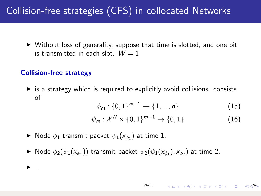## Collision-free strategies (CFS) in collocated Networks

 $\triangleright$  Without loss of generality, suppose that time is slotted, and one bit is transmitted in each slot.  $W = 1$ 

### Collision-free strategy

 $\blacktriangleright$  ...

 $\triangleright$  is a strategy which is required to explicitly avoid collisions. consists of

$$
\phi_m: \{0, 1\}^{m-1} \to \{1, ..., n\} \tag{15}
$$

$$
\psi_m: \mathcal{X}^N \times \{0,1\}^{m-1} \to \{0,1\} \tag{16}
$$

- $\blacktriangleright$  Node  $\phi_1$  transmit packet  $\psi_1(x_{\phi_1})$  at time 1.
- $\blacktriangleright$  Node  $\phi_2(\psi_1(x_{\phi_1}))$  transmit packet  $\psi_2(\psi_1(x_{\phi_1}),x_{\phi_2})$  at time 2.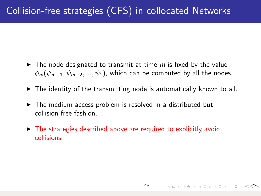- $\blacktriangleright$  The node designated to transmit at time m is fixed by the value  $\phi_m(\psi_{m-1}, \psi_{m-2}, ..., \psi_1)$ , which can be computed by all the nodes.
- $\triangleright$  The identity of the transmitting node is automatically known to all.
- $\triangleright$  The medium access problem is resolved in a distributed but collision-free fashion.
- $\triangleright$  The strategies described above are required to explicitly avoid collisions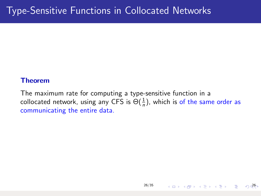#### Theorem

The maximum rate for computing a type-sensitive function in a collocated network, using any CFS is  $\Theta(\frac{1}{n})$ , which is of the same order as communicating the entire data.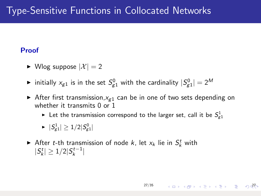## Type-Sensitive Functions in Collocated Networks

### Proof

- $\blacktriangleright$  Wlog suppose  $|\mathcal{X}| = 2$
- $\blacktriangleright$  initially  $x_{g1}$  is in the set  $S_{g1}^0$  with the cardinality  $|S_{g1}^0|=2^M$
- After first transmission,  $x_{g1}$  can be in one of two sets depending on whether it transmits 0 or 1
	- $\blacktriangleright$  Let the transmission correspond to the larger set, call it be  $S^1_{g1}$

[27/35](#page-0-0)

 $27$ 

- $\blacktriangleright\ \ |\mathcal{S}_{g1}^1|\ge 1/2|\mathcal{S}_{g1}^0|$
- After *t*-th transmission of node *k*, let  $x_k$  lie in  $S_k^t$  with  $|S_k^t| \geq 1/2|S_k^{t-1}|$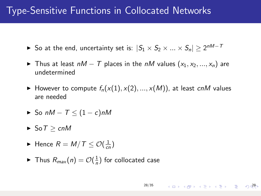## Type-Sensitive Functions in Collocated Networks

- ► So at the end, uncertainty set is:  $|S_1 \times S_2 \times ... \times S_n| \geq 2^{nM-7}$
- ► Thus at least  $nM T$  places in the  $nM$  values  $(x_1, x_2, ..., x_n)$  are undetermined
- $\blacktriangleright$  However to compute  $f_n(x(1), x(2), ..., x(M))$ , at least cnM values are needed
- $\triangleright$  So nM T  $\leq$  (1 c)nM
- $\blacktriangleright$  So  $T > cnM$
- $\blacktriangleright$  Hence  $R = M/T \leq \mathcal{O}(\frac{1}{cn})$
- $\blacktriangleright$  Thus  $R_{max}(n) = \mathcal{O}(\frac{1}{n})$  for collocated case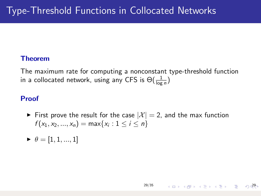### Theorem

The maximum rate for computing a nonconstant type-threshold function in a collocated network, using any CFS is  $\Theta(\frac{1}{\log n})$ 

### Proof

First prove the result for the case  $|\mathcal{X}| = 2$ , and the max function  $f(x_1, x_2, ..., x_n) = \max\{x_i : 1 \leq i \leq n\}$ 

[29/35](#page-0-0)

4 ロ → 4 @ → 4 블 → 4 블 → 1 블 → 9 0<sup>20</sup>

 $\blacktriangleright \theta = [1, 1, ..., 1]$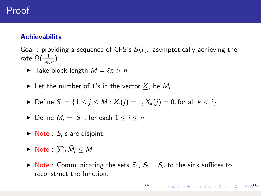### **Achievability**

Goal : providing a sequence of CFS's  $S_{M,n}$ , asymptotically achieving the rate  $\Omega(\frac{1}{\log n})$ 

- $\blacktriangleright$  Take block length  $M = \ell n > n$
- $\blacktriangleright$  Let the number of 1's in the vector  $X_i$  be  $M_i$
- ► Define  $S_i = \{1 \le i \le M : X_i(i) = 1, X_k(i) = 0$ , for all  $k < i\}$
- $\blacktriangleright$  Define  $\bar{M}_i = |S_i|$ , for each  $1 \leq i \leq n$
- $\triangleright$  Note :  $S_i$ 's are disjoint.
- $\blacktriangleright$  Note :  $\sum_i \bar{M}_i \leq M$
- $\triangleright$  Note : Communicating the sets  $S_1$ ,  $S_2$ ,.., $S_n$  to the sink suffices to reconstruct the function.

[30/35](#page-0-0)

 $\begin{array}{ccccccc} 4 & \Box & \rightarrow & 4 & \Box \rightarrow & 4 & \Xi & \rightarrow & 4 & \Xi & \rightarrow & 2 & \Box \end{array}$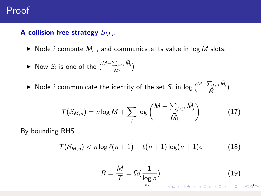### A collision free strategy  $S_{M,n}$

- $\blacktriangleright$  Node *i* compute  $\bar{M}_i$ , and communicate its value in log M slots.
- ► Now  $S_i$  is one of the  $\binom{M-\sum_{j$  $\frac{\sum_{j < i} M_j}{\bar{M}_i}$
- ► Node *i* communicate the identity of the set  $S_i$  in log  $\binom{M-\sum_{j$  $\frac{\sum_{j < i} M_j}{\bar{M}_i}$

$$
T(S_{M,n}) = n \log M + \sum_{i} \log \binom{M - \sum_{j < i} \bar{M}_j}{\bar{M}_i} \tag{17}
$$

By bounding RHS

$$
T(S_{M,n}) < n \log \ell(n+1) + \ell(n+1) \log(n+1)e \tag{18}
$$

$$
R = \frac{M}{T} = \Omega(\frac{1}{\log n})
$$
(19)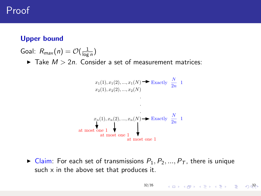### Upper bound

Goal:  $R_{max}(n) = \mathcal{O}(\frac{1}{\log n})$  $\blacktriangleright$  Take  $M > 2n$ . Consider a set of measurement matrices:

$$
x_1(1), x_1(2), ..., x_1(N) \rightarrow \text{Exactly } \frac{N}{2n} \quad 1
$$
  
\n
$$
x_2(1), x_2(2), ..., x_2(N)
$$
  
\n
$$
\cdot
$$
  
\n
$$
\cdot
$$
  
\n
$$
x_n(1), x_n(2), ..., x_n(N) \rightarrow \text{Exactly } \frac{N}{2n} \quad 1
$$
  
\nat most one 1  
\nat most one 1  
\nat most one 1

 $\triangleright$  Claim: For each set of transmissions  $P_1, P_2, ..., P_T$ , there is unique such  $x$  in the above set that produces it.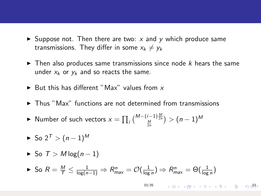- $\triangleright$  Suppose not. Then there are two: x and y which produce same transmissions. They differ in some  $x_k \neq y_k$
- $\triangleright$  Then also produces same transmissions since node k hears the same under  $x_k$  or  $y_k$  and so reacts the same.
- $\blacktriangleright$  But this has different "Max" values from x
- $\triangleright$  Thus "Max" functions are not determined from transmissions
- ▶ Number of such vectors  $x = \prod_i\big(\frac{{M}-(i-1)\frac{M}{2n}}{\frac{M}{2n}}\big)>(n-1)^M$
- $\blacktriangleright$  So 2<sup>T</sup> >  $(n-1)^M$
- $\triangleright$  So  $T > M \log(n-1)$

$$
\blacktriangleright \text{ So } R = \frac{M}{T} \le \frac{1}{\log(n-1)} \Rightarrow R^n_{\max} = \mathcal{O}(\frac{1}{\log n}) \Rightarrow R^n_{\max} = \Theta(\frac{1}{\log n})
$$

[33/35](#page-0-0)  $333$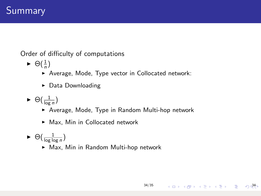Order of difficulty of computations

- $\blacktriangleright \Theta(\frac{1}{n})$ 
	- ▶ Average, Mode, Type vector in Collocated network:
	- $\triangleright$  Data Downloading
- $\blacktriangleright \Theta(\frac{1}{\log n})$ 
	- ▶ Average, Mode, Type in Random Multi-hop network

[34/35](#page-0-0)

34

- $\blacktriangleright$  Max, Min in Collocated network
- $\blacktriangleright \Theta(\frac{1}{\log \log n})$ 
	- ▶ Max, Min in Random Multi-hop network